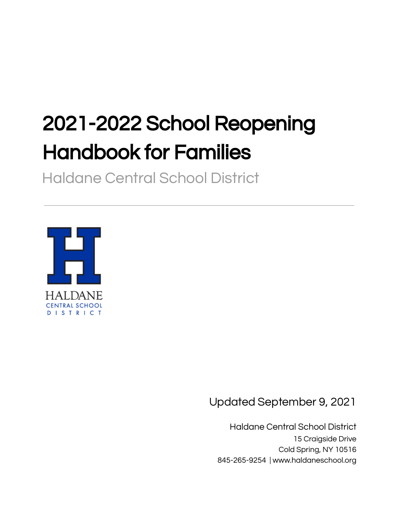# 2021-2022 School Reopening Handbook for Families

Haldane Central School District



Updated September 9, 2021

Haldane Central School District 15 Craigside Drive Cold Spring, NY 10516 845-265-9254 | www.haldaneschool.org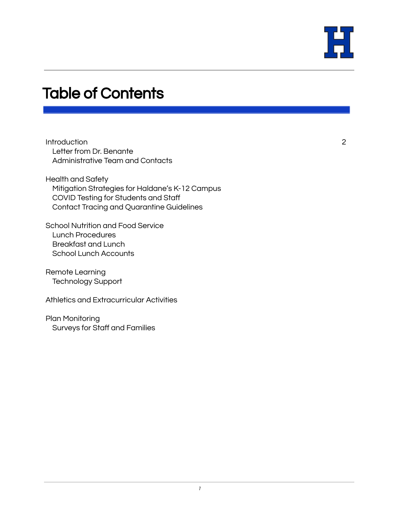

### Table of Contents

**Introduction** Letter from Dr. Benante Administrative Team and Contacts

Health and Safety Mitigation Strategies for Haldane's K-12 Campus COVID Testing for Students and Staff Contact Tracing and Quarantine Guidelines

School Nutrition and Food Service Lunch Procedures Breakfast and Lunch School Lunch Accounts

Remote Learning Technology Support

Athletics and Extracurricular Activities

Plan Monitoring Surveys for Staff and Families 2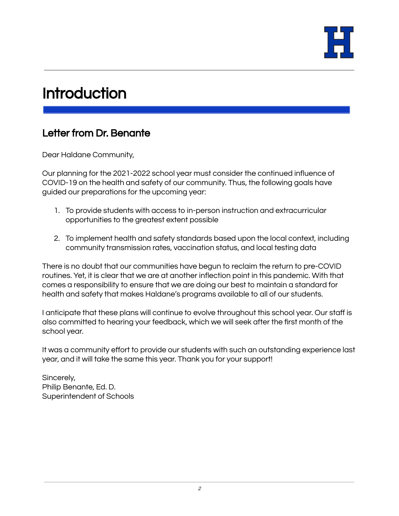

### **Introduction**

### Letter from Dr. Benante

Dear Haldane Community,

Our planning for the 2021-2022 school year must consider the continued influence of COVID-19 on the health and safety of our community. Thus, the following goals have guided our preparations for the upcoming year:

- 1. To provide students with access to in-person instruction and extracurricular opportunities to the greatest extent possible
- 2. To implement health and safety standards based upon the local context, including community transmission rates, vaccination status, and local testing data

There is no doubt that our communities have begun to reclaim the return to pre-COVID routines. Yet, it is clear that we are at another inflection point in this pandemic. With that comes a responsibility to ensure that we are doing our best to maintain a standard for health and safety that makes Haldane's programs available to all of our students.

I anticipate that these plans will continue to evolve throughout this school year. Our staff is also committed to hearing your feedback, which we will seek after the first month of the school year.

It was a community effort to provide our students with such an outstanding experience last year, and it will take the same this year. Thank you for your support!

Sincerely, Philip Benante, Ed. D. Superintendent of Schools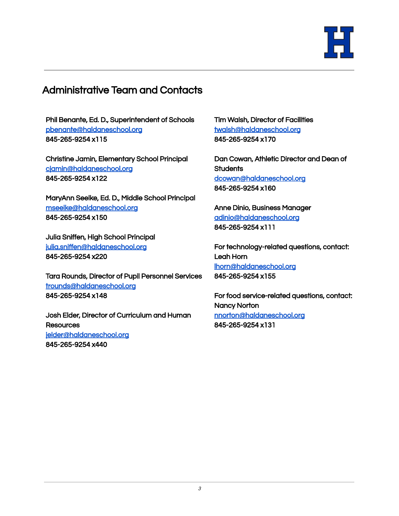

#### Administrative Team and Contacts

Phil Benante, Ed. D., Superintendent of Schools [pbenante@haldaneschool.org](mailto:pbenante@haldaneschool.org) 845-265-9254 x115

Christine Jamin, Elementary School Principal [cjamin@haldaneschool.org](mailto:cjamin@haldaneschool.org) 845-265-9254 x122

MaryAnn Seelke, Ed. D., Middle School Principal [mseelke@haldaneschool.org](mailto:mseelke@haldaneschool.org) 845-265-9254 x150

Julia Sniffen, High School Principal [julia.sniffen@haldaneschool.org](mailto:julia.sniffen@haldaneschool.org) 845-265-9254 x220

Tara Rounds, Director of Pupil Personnel Services [trounds@haldaneschool.org](mailto:trounds@haldaneschool.org) 845-265-9254 x148

Josh Elder, Director of Curriculum and Human **Resources** [jelder@haldaneschool.org](mailto:jelder@haldaneschool.org) 845-265-9254 x440

Tim Walsh, Director of Facilities [twalsh@haldaneschool.org](mailto:twalsh@haldaneschool.org) 845-265-9254 x170

Dan Cowan, Athletic Director and Dean of **Students** [dcowan@haldaneschool.org](mailto:dcowan@haldaneschool.org) 845-265-9254 x160

Anne Dinio, Business Manager [adinio@haldaneschool.org](mailto:adinio@haldaneschool.org) 845-265-9254 x111

For technology-related questions, contact: Leah Horn [lhorn@haldaneschool.org](mailto:lhorn@haldaneschool.org) 845-265-9254 x155

For food service-related questions, contact: Nancy Norton [nnorton@haldaneschool.org](mailto:nnorton@haldaneschool.org) 845-265-9254 x131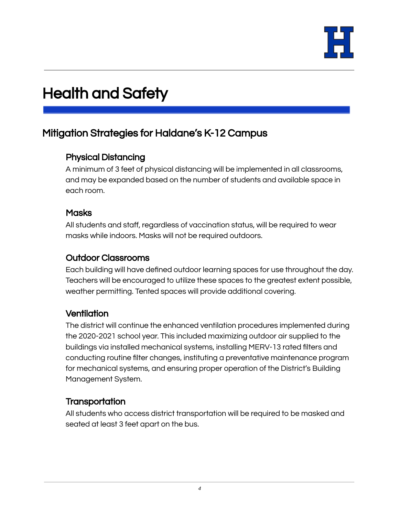

## Health and Safety

#### Mitigation Strategies for Haldane's K-12 Campus

#### Physical Distancing

A minimum of 3 feet of physical distancing will be implemented in all classrooms, and may be expanded based on the number of students and available space in each room.

#### **Masks**

All students and staff, regardless of vaccination status, will be required to wear masks while indoors. Masks will not be required outdoors.

#### Outdoor Classrooms

Each building will have defined outdoor learning spaces for use throughout the day. Teachers will be encouraged to utilize these spaces to the greatest extent possible, weather permitting. Tented spaces will provide additional covering.

#### **Ventilation**

The district will continue the enhanced ventilation procedures implemented during the 2020-2021 school year. This included maximizing outdoor air supplied to the buildings via installed mechanical systems, installing MERV-13 rated filters and conducting routine filter changes, instituting a preventative maintenance program for mechanical systems, and ensuring proper operation of the District's Building Management System.

#### **Transportation**

All students who access district transportation will be required to be masked and seated at least 3 feet apart on the bus.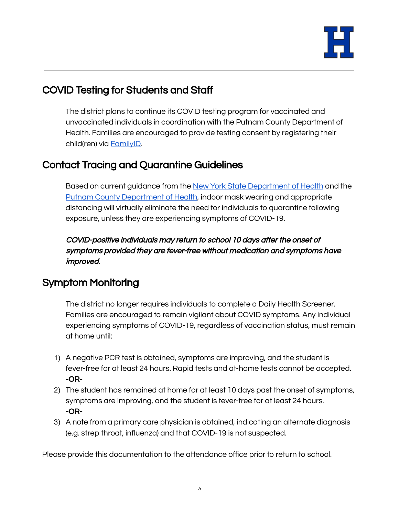

### COVID Testing for Students and Staff

The district plans to continue its COVID testing program for vaccinated and unvaccinated individuals in coordination with the Putnam County Department of Health. Families are encouraged to provide testing consent by registering their child(ren) via [FamilyID](https://www.familyid.com/programs/covid-19-testing-consent-21-22).

### Contact Tracing and Quarantine Guidelines

Based on current guidance from the New York State [Department](https://resources.finalsite.net/images/v1629313715/haldaneschoolorg/pcsapvkxyjooe49ffufc/NYSEDHealthandSafetyGuideforthe2021-2022SchoolYear.pdf) of Health and the Putnam County [Department](https://resources.finalsite.net/images/v1629313645/haldaneschoolorg/rjgbdh463bv2oyp8jiqx/PCDOHMemoToSchoolsAugust2021.pdf) of Health, indoor mask wearing and appropriate distancing will virtually eliminate the need for individuals to quarantine following exposure, unless they are experiencing symptoms of COVID-19.

COVID-positive individuals may return to school 10 days after the onset of symptoms provided they are fever-free without medication and symptoms have improved.

### Symptom Monitoring

The district no longer requires individuals to complete a Daily Health Screener. Families are encouraged to remain vigilant about COVID symptoms. Any individual experiencing symptoms of COVID-19, regardless of vaccination status, must remain at home until:

- 1) A negative PCR test is obtained, symptoms are improving, and the student is fever-free for at least 24 hours. Rapid tests and at-home tests cannot be accepted. -OR-
- 2) The student has remained at home for at least 10 days past the onset of symptoms, symptoms are improving, and the student is fever-free for at least 24 hours. -OR-
- 3) A note from a primary care physician is obtained, indicating an alternate diagnosis (e.g. strep throat, influenza) and that COVID-19 is not suspected.

Please provide this documentation to the attendance office prior to return to school.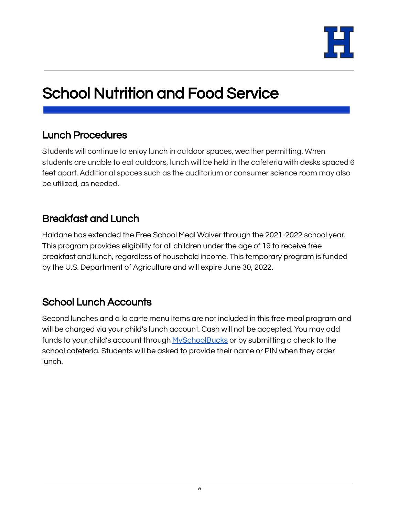

# School Nutrition and Food Service

#### Lunch Procedures

Students will continue to enjoy lunch in outdoor spaces, weather permitting. When students are unable to eat outdoors, lunch will be held in the cafeteria with desks spaced 6 feet apart. Additional spaces such as the auditorium or consumer science room may also be utilized, as needed.

### Breakfast and Lunch

Haldane has extended the Free School Meal Waiver through the 2021-2022 school year. This program provides eligibility for all children under the age of 19 to receive free breakfast and lunch, regardless of household income. This temporary program is funded by the U.S. Department of Agriculture and will expire June 30, 2022.

### School Lunch Accounts

Second lunches and a la carte menu items are not included in this free meal program and will be charged via your child's lunch account. Cash will not be accepted. You may add funds to your child's account through [MySchoolBucks](https://www.haldaneschool.org/district/departments/cafeteria) or by submitting a check to the school cafeteria. Students will be asked to provide their name or PIN when they order lunch.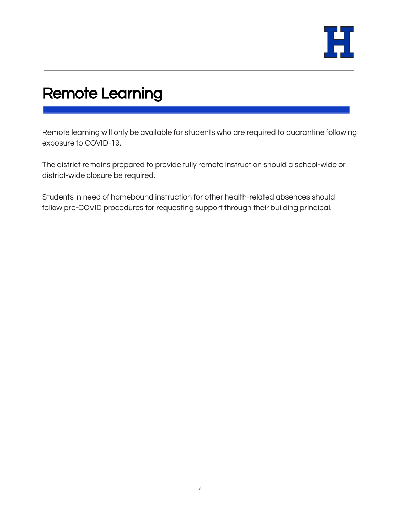

# Remote Learning

Remote learning will only be available for students who are required to quarantine following exposure to COVID-19.

The district remains prepared to provide fully remote instruction should a school-wide or district-wide closure be required.

Students in need of homebound instruction for other health-related absences should follow pre-COVID procedures for requesting support through their building principal.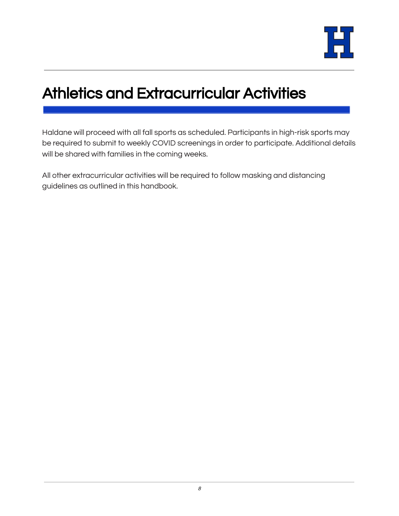

# Athletics and Extracurricular Activities

Haldane will proceed with all fall sports as scheduled. Participants in high-risk sports may be required to submit to weekly COVID screenings in order to participate. Additional details will be shared with families in the coming weeks.

All other extracurricular activities will be required to follow masking and distancing guidelines as outlined in this handbook.